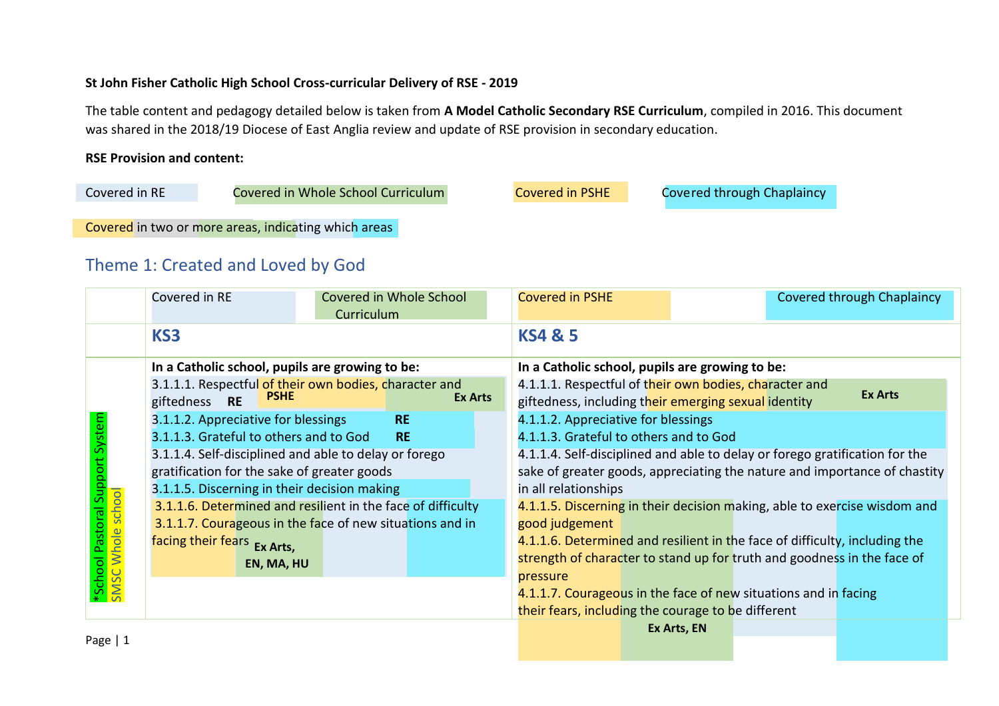# **St John Fisher Catholic High School Cross-curricular Delivery of RSE - 2019**

The table content and pedagogy detailed below is taken from **A Model Catholic Secondary RSE Curriculum**, compiled in 2016. This document was shared in the 2018/19 Diocese of East Anglia review and update of RSE provision in secondary education.

# **RSE Provision and content:**

| Covered in RE | Covered in Whole School Curriculum                   | <b>Covered in PSHE</b> | Covered through Chaplaincy |
|---------------|------------------------------------------------------|------------------------|----------------------------|
|               |                                                      |                        |                            |
|               | Covered in two or more areas, indicating which areas |                        |                            |

# Theme 1: Created and Loved by God

|           | Covered in RE                                                                          | Covered in Whole School<br>Curriculum |                |                                                    | <b>Covered in PSHE</b>                                                      |                                                                 |                                                                            | <b>Covered through Chaplaincy</b> |
|-----------|----------------------------------------------------------------------------------------|---------------------------------------|----------------|----------------------------------------------------|-----------------------------------------------------------------------------|-----------------------------------------------------------------|----------------------------------------------------------------------------|-----------------------------------|
|           | KS3                                                                                    |                                       |                |                                                    | <b>KS4 &amp; 5</b>                                                          |                                                                 |                                                                            |                                   |
|           | In a Catholic school, pupils are growing to be:                                        |                                       |                |                                                    | In a Catholic school, pupils are growing to be:                             |                                                                 |                                                                            |                                   |
|           | 3.1.1.1. Respectful of their own bodies, character and<br><b>PSHE</b><br>giftedness RE |                                       | <b>Ex Arts</b> |                                                    | giftedness, including their emerging sexual identity                        |                                                                 | 4.1.1.1. Respectful of their own bodies, character and                     | <b>Ex Arts</b>                    |
|           | 3.1.1.2. Appreciative for blessings                                                    | <b>RE</b>                             |                |                                                    | 4.1.1.2. Appreciative for blessings                                         |                                                                 |                                                                            |                                   |
| System    | 3.1.1.3. Grateful to others and to God<br><b>RE</b>                                    |                                       |                |                                                    | 4.1.1.3. Grateful to others and to God                                      |                                                                 |                                                                            |                                   |
|           | 3.1.1.4. Self-disciplined and able to delay or forego                                  |                                       |                |                                                    | 4.1.1.4. Self-disciplined and able to delay or forego gratification for the |                                                                 |                                                                            |                                   |
|           | gratification for the sake of greater goods                                            |                                       |                |                                                    | sake of greater goods, appreciating the nature and importance of chastity   |                                                                 |                                                                            |                                   |
|           | 3.1.1.5. Discerning in their decision making                                           |                                       |                |                                                    | in all relationships                                                        |                                                                 |                                                                            |                                   |
|           | 3.1.1.6. Determined and resilient in the face of difficulty                            |                                       |                |                                                    |                                                                             |                                                                 | 4.1.1.5. Discerning in their decision making, able to exercise wisdom and  |                                   |
|           | 3.1.1.7. Courageous in the face of new situations and in                               |                                       |                |                                                    | good judgement                                                              |                                                                 |                                                                            |                                   |
|           | facing their fears Ex Arts,                                                            |                                       |                |                                                    |                                                                             |                                                                 | 4.1.1.6. Determined and resilient in the face of difficulty, including the |                                   |
|           | EN, MA, HU                                                                             |                                       |                |                                                    |                                                                             |                                                                 | strength of character to stand up for truth and goodness in the face of    |                                   |
|           |                                                                                        |                                       |                |                                                    | pressure                                                                    |                                                                 |                                                                            |                                   |
|           |                                                                                        |                                       |                |                                                    |                                                                             | 4.1.1.7. Courageous in the face of new situations and in facing |                                                                            |                                   |
|           |                                                                                        |                                       |                | their fears, including the courage to be different |                                                                             |                                                                 |                                                                            |                                   |
|           |                                                                                        |                                       |                |                                                    |                                                                             | Ex Arts, EN                                                     |                                                                            |                                   |
| Page $ 1$ |                                                                                        |                                       |                |                                                    |                                                                             |                                                                 |                                                                            |                                   |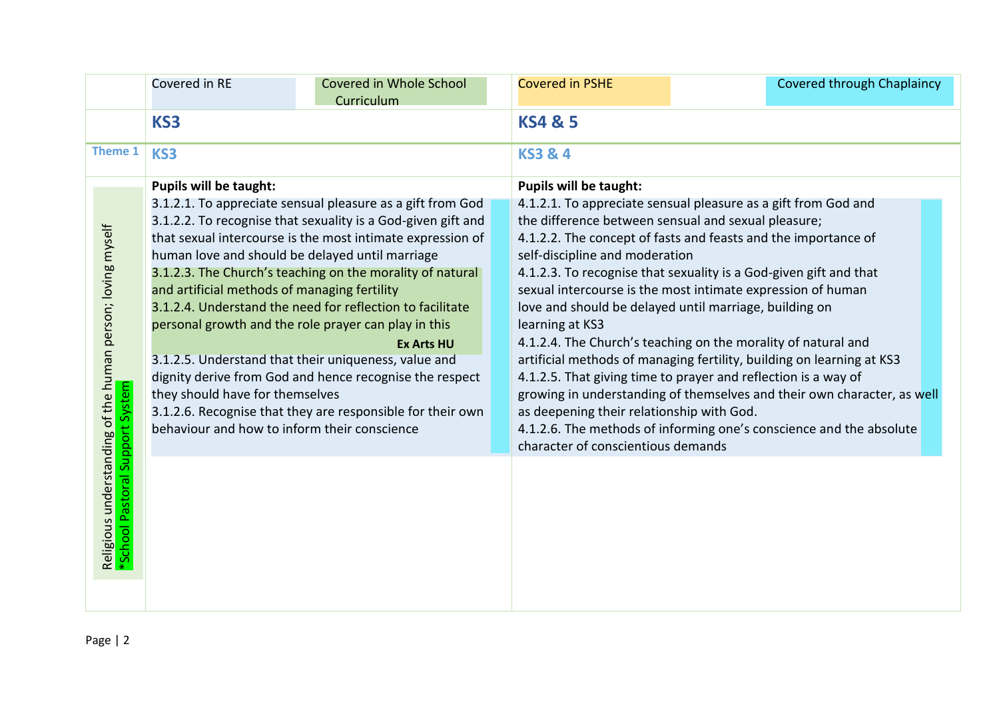|                                                                                               | Covered in RE                                                                                                                   | Covered in Whole School                                                                                                                                                                                                                                                                                                                                                                                                                                                                                                                                                                                                             |  | <b>Covered in PSHE</b>                                                                                                                                                                                                                                                                                                                                                                                                                                                                                                                                                                                                                                                                                                                    | <b>Covered through Chaplaincy</b>                                                                                                              |
|-----------------------------------------------------------------------------------------------|---------------------------------------------------------------------------------------------------------------------------------|-------------------------------------------------------------------------------------------------------------------------------------------------------------------------------------------------------------------------------------------------------------------------------------------------------------------------------------------------------------------------------------------------------------------------------------------------------------------------------------------------------------------------------------------------------------------------------------------------------------------------------------|--|-------------------------------------------------------------------------------------------------------------------------------------------------------------------------------------------------------------------------------------------------------------------------------------------------------------------------------------------------------------------------------------------------------------------------------------------------------------------------------------------------------------------------------------------------------------------------------------------------------------------------------------------------------------------------------------------------------------------------------------------|------------------------------------------------------------------------------------------------------------------------------------------------|
|                                                                                               |                                                                                                                                 | Curriculum                                                                                                                                                                                                                                                                                                                                                                                                                                                                                                                                                                                                                          |  |                                                                                                                                                                                                                                                                                                                                                                                                                                                                                                                                                                                                                                                                                                                                           |                                                                                                                                                |
|                                                                                               | KS3                                                                                                                             |                                                                                                                                                                                                                                                                                                                                                                                                                                                                                                                                                                                                                                     |  | <b>KS4 &amp; 5</b>                                                                                                                                                                                                                                                                                                                                                                                                                                                                                                                                                                                                                                                                                                                        |                                                                                                                                                |
| <b>Theme 1</b>                                                                                | KS3                                                                                                                             |                                                                                                                                                                                                                                                                                                                                                                                                                                                                                                                                                                                                                                     |  | <b>KS3 &amp; 4</b>                                                                                                                                                                                                                                                                                                                                                                                                                                                                                                                                                                                                                                                                                                                        |                                                                                                                                                |
|                                                                                               | <b>Pupils will be taught:</b>                                                                                                   |                                                                                                                                                                                                                                                                                                                                                                                                                                                                                                                                                                                                                                     |  | <b>Pupils will be taught:</b>                                                                                                                                                                                                                                                                                                                                                                                                                                                                                                                                                                                                                                                                                                             |                                                                                                                                                |
| Religious understanding of the human person; loving myself<br>*School Pastoral Support System | and artificial methods of managing fertility<br>they should have for themselves<br>behaviour and how to inform their conscience | 3.1.2.1. To appreciate sensual pleasure as a gift from God<br>3.1.2.2. To recognise that sexuality is a God-given gift and<br>that sexual intercourse is the most intimate expression of<br>human love and should be delayed until marriage<br>3.1.2.3. The Church's teaching on the morality of natural<br>3.1.2.4. Understand the need for reflection to facilitate<br>personal growth and the role prayer can play in this<br><b>Ex Arts HU</b><br>3.1.2.5. Understand that their uniqueness, value and<br>dignity derive from God and hence recognise the respect<br>3.1.2.6. Recognise that they are responsible for their own |  | 4.1.2.1. To appreciate sensual pleasure as a gift from God and<br>the difference between sensual and sexual pleasure;<br>4.1.2.2. The concept of fasts and feasts and the importance of<br>self-discipline and moderation<br>4.1.2.3. To recognise that sexuality is a God-given gift and that<br>sexual intercourse is the most intimate expression of human<br>love and should be delayed until marriage, building on<br>learning at KS3<br>4.1.2.4. The Church's teaching on the morality of natural and<br>artificial methods of managing fertility, building on learning at KS3<br>4.1.2.5. That giving time to prayer and reflection is a way of<br>as deepening their relationship with God.<br>character of conscientious demands | growing in understanding of themselves and their own character, as well<br>4.1.2.6. The methods of informing one's conscience and the absolute |
|                                                                                               |                                                                                                                                 |                                                                                                                                                                                                                                                                                                                                                                                                                                                                                                                                                                                                                                     |  |                                                                                                                                                                                                                                                                                                                                                                                                                                                                                                                                                                                                                                                                                                                                           |                                                                                                                                                |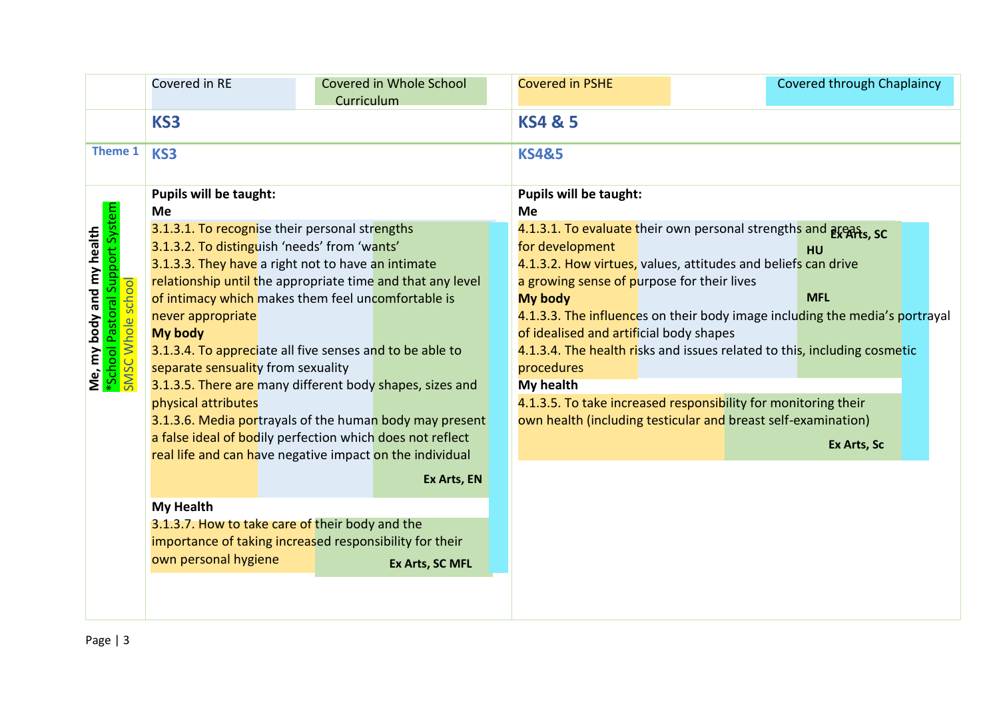|                                                                                                           | Covered in RE                                                                                                                                                                                                                                                                                                                                                                                                                                                                                                                                                                                                                                                                            | Curriculum | Covered in Whole School | <b>Covered in PSHE</b>                                                                                                                                |  | <b>Covered through Chaplaincy</b>                                                                                                                                                                                                                                                                                                                                                                                                                                        |  |
|-----------------------------------------------------------------------------------------------------------|------------------------------------------------------------------------------------------------------------------------------------------------------------------------------------------------------------------------------------------------------------------------------------------------------------------------------------------------------------------------------------------------------------------------------------------------------------------------------------------------------------------------------------------------------------------------------------------------------------------------------------------------------------------------------------------|------------|-------------------------|-------------------------------------------------------------------------------------------------------------------------------------------------------|--|--------------------------------------------------------------------------------------------------------------------------------------------------------------------------------------------------------------------------------------------------------------------------------------------------------------------------------------------------------------------------------------------------------------------------------------------------------------------------|--|
|                                                                                                           | KS3                                                                                                                                                                                                                                                                                                                                                                                                                                                                                                                                                                                                                                                                                      |            |                         | <b>KS4 &amp; 5</b>                                                                                                                                    |  |                                                                                                                                                                                                                                                                                                                                                                                                                                                                          |  |
| Theme 1                                                                                                   | KS3                                                                                                                                                                                                                                                                                                                                                                                                                                                                                                                                                                                                                                                                                      |            |                         | <b>KS4&amp;5</b>                                                                                                                                      |  |                                                                                                                                                                                                                                                                                                                                                                                                                                                                          |  |
|                                                                                                           | <b>Pupils will be taught:</b><br><b>Me</b>                                                                                                                                                                                                                                                                                                                                                                                                                                                                                                                                                                                                                                               |            |                         | <b>Pupils will be taught:</b><br>Me                                                                                                                   |  |                                                                                                                                                                                                                                                                                                                                                                                                                                                                          |  |
| Pastoral Support System<br>Me, my body and my health<br>*School Pastoral Support Sys<br>SMSC Whole school | 3.1.3.1. To recognise their personal strengths<br>3.1.3.2. To distinguish 'needs' from 'wants'<br>3.1.3.3. They have a right not to have an intimate<br>relationship until the appropriate time and that any level<br>of intimacy which makes them feel uncomfortable is<br>never appropriate<br><b>My body</b><br>3.1.3.4. To appreciate all five senses and to be able to<br>separate sensuality from sexuality<br>3.1.3.5. There are many different body shapes, sizes and<br>physical attributes<br>3.1.3.6. Media portrayals of the human body may present<br>a false ideal of bodily perfection which does not reflect<br>real life and can have negative impact on the individual |            | Ex Arts, EN             | for development<br>a growing sense of purpose for their lives<br>My body<br>of idealised and artificial body shapes<br>procedures<br><b>My health</b> |  | 4.1.3.1. To evaluate their own personal strengths and areas, sc<br><b>HU</b><br>4.1.3.2. How virtues, values, attitudes and beliefs can drive<br><b>MFL</b><br>4.1.3.3. The influences on their body image including the media's portrayal<br>4.1.3.4. The health risks and issues related to this, including cosmetic<br>4.1.3.5. To take increased responsibility for monitoring their<br>own health (including testicular and breast self-examination)<br>Ex Arts, Sc |  |
|                                                                                                           | <b>My Health</b>                                                                                                                                                                                                                                                                                                                                                                                                                                                                                                                                                                                                                                                                         |            |                         |                                                                                                                                                       |  |                                                                                                                                                                                                                                                                                                                                                                                                                                                                          |  |
|                                                                                                           | 3.1.3.7. How to take care of their body and the<br>importance of taking increased responsibility for their<br>own personal hygiene                                                                                                                                                                                                                                                                                                                                                                                                                                                                                                                                                       |            | Ex Arts, SC MFL         |                                                                                                                                                       |  |                                                                                                                                                                                                                                                                                                                                                                                                                                                                          |  |
|                                                                                                           |                                                                                                                                                                                                                                                                                                                                                                                                                                                                                                                                                                                                                                                                                          |            |                         |                                                                                                                                                       |  |                                                                                                                                                                                                                                                                                                                                                                                                                                                                          |  |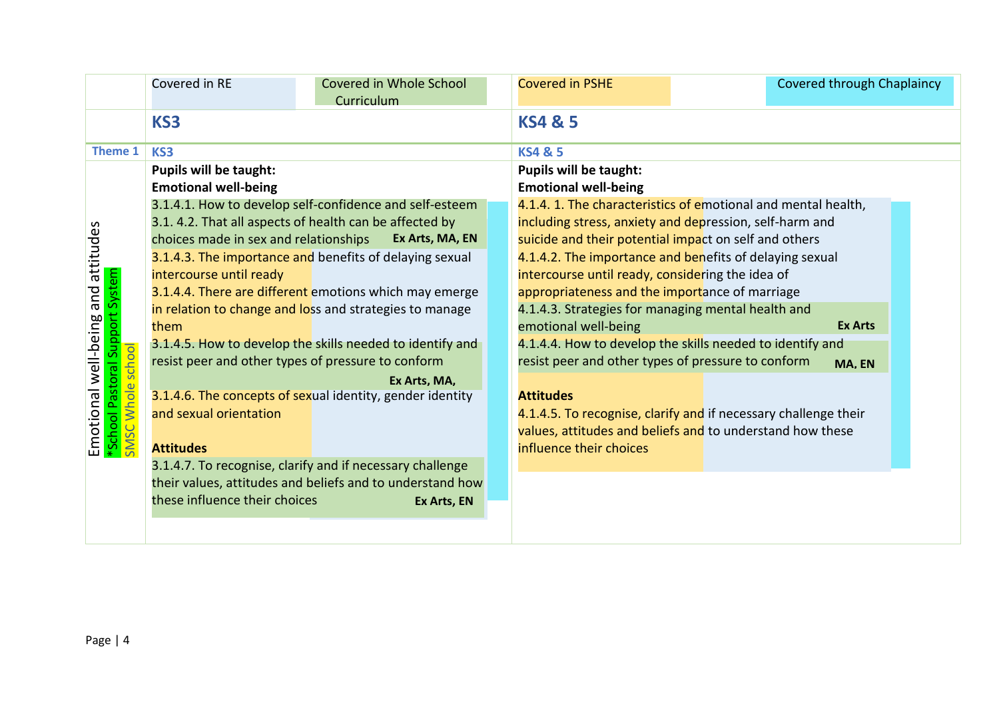|                                                                                        | Covered in RE                         | Covered in Whole School<br>Curriculum                     | <b>Covered in PSHE</b>                                          | Covered through Chaplaincy |  |
|----------------------------------------------------------------------------------------|---------------------------------------|-----------------------------------------------------------|-----------------------------------------------------------------|----------------------------|--|
|                                                                                        | KS3                                   |                                                           | <b>KS4 &amp; 5</b>                                              |                            |  |
| Theme 1                                                                                | KS3                                   |                                                           | <b>KS4 &amp; 5</b>                                              |                            |  |
|                                                                                        | <b>Pupils will be taught:</b>         |                                                           | <b>Pupils will be taught:</b>                                   |                            |  |
|                                                                                        | <b>Emotional well-being</b>           |                                                           | <b>Emotional well-being</b>                                     |                            |  |
|                                                                                        |                                       | 3.1.4.1. How to develop self-confidence and self-esteem   | 4.1.4. 1. The characteristics of emotional and mental health,   |                            |  |
|                                                                                        |                                       | 3.1. 4.2. That all aspects of health can be affected by   | including stress, anxiety and depression, self-harm and         |                            |  |
|                                                                                        | choices made in sex and relationships | Ex Arts, MA, EN                                           | suicide and their potential impact on self and others           |                            |  |
| and attitudes                                                                          |                                       | 3.1.4.3. The importance and benefits of delaying sexual   | 4.1.4.2. The importance and benefits of delaying sexual         |                            |  |
|                                                                                        | intercourse until ready               |                                                           | intercourse until ready, considering the idea of                |                            |  |
| System                                                                                 |                                       | 3.1.4.4. There are different emotions which may emerge    | appropriateness and the importance of marriage                  |                            |  |
|                                                                                        |                                       | in relation to change and loss and strategies to manage   | 4.1.4.3. Strategies for managing mental health and              |                            |  |
| Support                                                                                | them                                  |                                                           | emotional well-being                                            | <b>Ex Arts</b>             |  |
|                                                                                        |                                       | 3.1.4.5. How to develop the skills needed to identify and | 4.1.4.4. How to develop the skills needed to identify and       |                            |  |
| Emotional well-being a<br><mark>*School Pastoral Support S</mark><br>SMSC Whole school |                                       | resist peer and other types of pressure to conform        | resist peer and other types of pressure to conform              | MA, EN                     |  |
|                                                                                        |                                       | Ex Arts, MA,                                              |                                                                 |                            |  |
|                                                                                        |                                       | 3.1.4.6. The concepts of sexual identity, gender identity | <b>Attitudes</b>                                                |                            |  |
|                                                                                        | and sexual orientation                |                                                           | 4.1.4.5. To recognise, clarify and if necessary challenge their |                            |  |
|                                                                                        |                                       |                                                           | values, attitudes and beliefs and to understand how these       |                            |  |
|                                                                                        | <b>Attitudes</b>                      |                                                           | influence their choices                                         |                            |  |
|                                                                                        |                                       | 3.1.4.7. To recognise, clarify and if necessary challenge |                                                                 |                            |  |
|                                                                                        |                                       | their values, attitudes and beliefs and to understand how |                                                                 |                            |  |
|                                                                                        | these influence their choices         | Ex Arts, EN                                               |                                                                 |                            |  |
|                                                                                        |                                       |                                                           |                                                                 |                            |  |
|                                                                                        |                                       |                                                           |                                                                 |                            |  |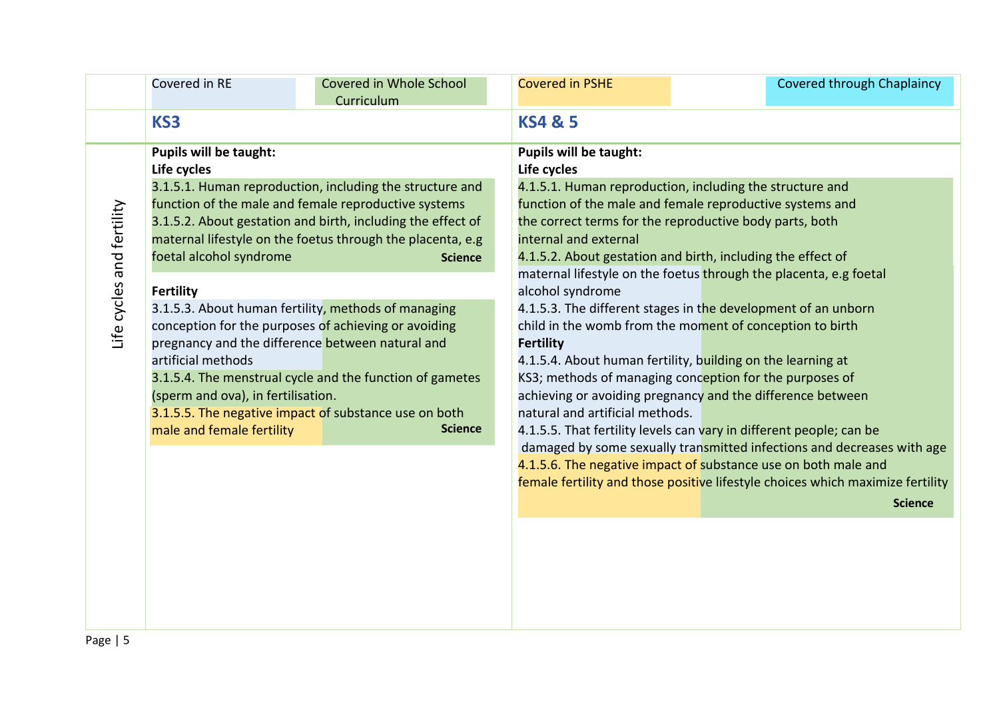|                           | Covered in RE                                                                                                                                                                        | <b>Covered in Whole School</b><br>Curriculum                                                                                                                                                                                                                                                                                                                                                                                                                                                                                                                              | <b>Covered in PSHE</b>                                                                                                                           | Covered through Chaplaincy                                                                                                                                                                                                                                                                                                                                                                                                                                                                                                                                                                                                                                                                                                                                                                                                                                                                                                                                      |  |  |
|---------------------------|--------------------------------------------------------------------------------------------------------------------------------------------------------------------------------------|---------------------------------------------------------------------------------------------------------------------------------------------------------------------------------------------------------------------------------------------------------------------------------------------------------------------------------------------------------------------------------------------------------------------------------------------------------------------------------------------------------------------------------------------------------------------------|--------------------------------------------------------------------------------------------------------------------------------------------------|-----------------------------------------------------------------------------------------------------------------------------------------------------------------------------------------------------------------------------------------------------------------------------------------------------------------------------------------------------------------------------------------------------------------------------------------------------------------------------------------------------------------------------------------------------------------------------------------------------------------------------------------------------------------------------------------------------------------------------------------------------------------------------------------------------------------------------------------------------------------------------------------------------------------------------------------------------------------|--|--|
|                           | KS3                                                                                                                                                                                  |                                                                                                                                                                                                                                                                                                                                                                                                                                                                                                                                                                           | <b>KS4 &amp; 5</b>                                                                                                                               |                                                                                                                                                                                                                                                                                                                                                                                                                                                                                                                                                                                                                                                                                                                                                                                                                                                                                                                                                                 |  |  |
| Life cycles and fertility | <b>Pupils will be taught:</b><br>Life cycles<br>foetal alcohol syndrome<br><b>Fertility</b><br>artificial methods<br>(sperm and ova), in fertilisation.<br>male and female fertility | 3.1.5.1. Human reproduction, including the structure and<br>function of the male and female reproductive systems<br>3.1.5.2. About gestation and birth, including the effect of<br>maternal lifestyle on the foetus through the placenta, e.g<br><b>Science</b><br>3.1.5.3. About human fertility, methods of managing<br>conception for the purposes of achieving or avoiding<br>pregnancy and the difference between natural and<br>3.1.5.4. The menstrual cycle and the function of gametes<br>3.1.5.5. The negative impact of substance use on both<br><b>Science</b> | <b>Pupils will be taught:</b><br>Life cycles<br>internal and external<br>alcohol syndrome<br><b>Fertility</b><br>natural and artificial methods. | 4.1.5.1. Human reproduction, including the structure and<br>function of the male and female reproductive systems and<br>the correct terms for the reproductive body parts, both<br>4.1.5.2. About gestation and birth, including the effect of<br>maternal lifestyle on the foetus through the placenta, e.g foetal<br>4.1.5.3. The different stages in the development of an unborn<br>child in the womb from the moment of conception to birth<br>4.1.5.4. About human fertility, building on the learning at<br>KS3; methods of managing conception for the purposes of<br>achieving or avoiding pregnancy and the difference between<br>4.1.5.5. That fertility levels can vary in different people; can be<br>damaged by some sexually transmitted infections and decreases with age<br>4.1.5.6. The negative impact of substance use on both male and<br>female fertility and those positive lifestyle choices which maximize fertility<br><b>Science</b> |  |  |
|                           |                                                                                                                                                                                      |                                                                                                                                                                                                                                                                                                                                                                                                                                                                                                                                                                           |                                                                                                                                                  |                                                                                                                                                                                                                                                                                                                                                                                                                                                                                                                                                                                                                                                                                                                                                                                                                                                                                                                                                                 |  |  |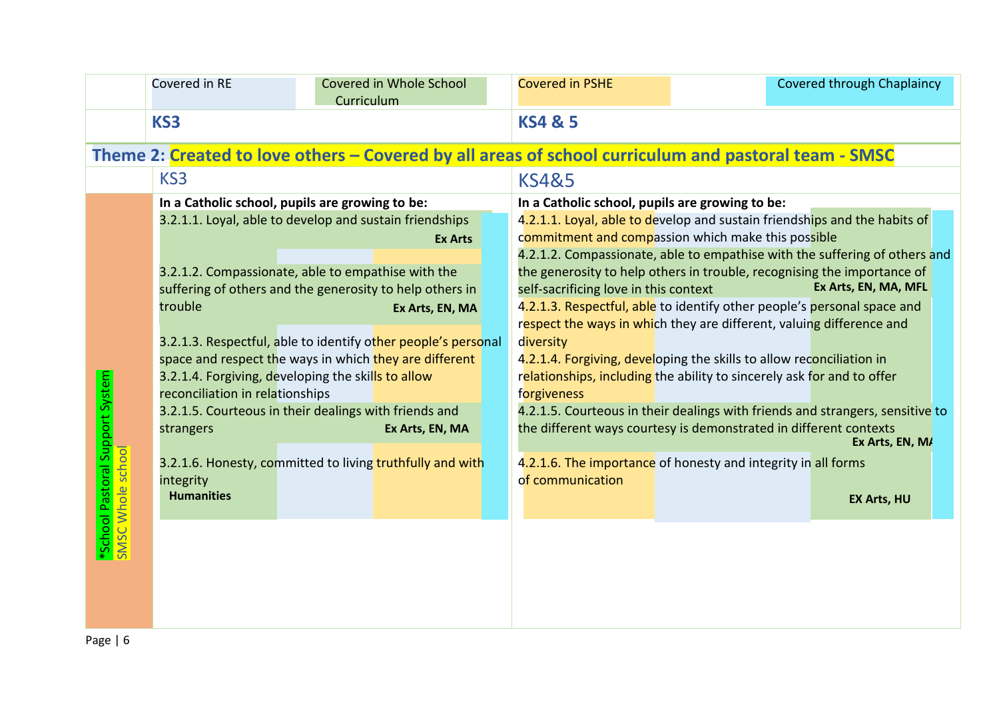|                                                      | Covered in RE                                                                            | Curriculum | Covered in Whole School |  | <b>Covered in PSHE</b>                                                                               | <b>Covered through Chaplaincy</b>                                             |
|------------------------------------------------------|------------------------------------------------------------------------------------------|------------|-------------------------|--|------------------------------------------------------------------------------------------------------|-------------------------------------------------------------------------------|
|                                                      | KS3                                                                                      |            |                         |  | <b>KS4 &amp; 5</b>                                                                                   |                                                                               |
|                                                      |                                                                                          |            |                         |  | Theme 2: Created to love others – Covered by all areas of school curriculum and pastoral team - SMSC |                                                                               |
|                                                      | KS3                                                                                      |            |                         |  | <b>KS4&amp;5</b>                                                                                     |                                                                               |
|                                                      | In a Catholic school, pupils are growing to be:                                          |            |                         |  | In a Catholic school, pupils are growing to be:                                                      |                                                                               |
|                                                      | 3.2.1.1. Loyal, able to develop and sustain friendships                                  |            |                         |  |                                                                                                      | 4.2.1.1. Loyal, able to develop and sustain friendships and the habits of     |
|                                                      |                                                                                          |            | <b>Ex Arts</b>          |  | commitment and compassion which make this possible                                                   |                                                                               |
|                                                      |                                                                                          |            |                         |  |                                                                                                      | 4.2.1.2. Compassionate, able to empathise with the suffering of others and    |
|                                                      | 3.2.1.2. Compassionate, able to empathise with the                                       |            |                         |  |                                                                                                      | the generosity to help others in trouble, recognising the importance of       |
|                                                      | suffering of others and the generosity to help others in                                 |            |                         |  | self-sacrificing love in this context                                                                | Ex Arts, EN, MA, MFL                                                          |
|                                                      | trouble                                                                                  |            | Ex Arts, EN, MA         |  |                                                                                                      | 4.2.1.3. Respectful, able to identify other people's personal space and       |
|                                                      |                                                                                          |            |                         |  | respect the ways in which they are different, valuing difference and                                 |                                                                               |
|                                                      | 3.2.1.3. Respectful, able to identify other people's personal                            |            |                         |  | diversity                                                                                            |                                                                               |
|                                                      | space and respect the ways in which they are different                                   |            |                         |  | 4.2.1.4. Forgiving, developing the skills to allow reconciliation in                                 |                                                                               |
|                                                      | 3.2.1.4. Forgiving, developing the skills to allow                                       |            |                         |  | relationships, including the ability to sincerely ask for and to offer                               |                                                                               |
|                                                      | reconciliation in relationships<br>3.2.1.5. Courteous in their dealings with friends and |            |                         |  | forgiveness                                                                                          | 4.2.1.5. Courteous in their dealings with friends and strangers, sensitive to |
|                                                      | strangers                                                                                |            | Ex Arts, EN, MA         |  | the different ways courtesy is demonstrated in different contexts                                    |                                                                               |
| *School Pastoral Support System<br>SMSC Whole school |                                                                                          |            |                         |  |                                                                                                      | Ex Arts, EN, M/                                                               |
|                                                      | 3.2.1.6. Honesty, committed to living truthfully and with                                |            |                         |  | 4.2.1.6. The importance of honesty and integrity in all forms                                        |                                                                               |
|                                                      | integrity                                                                                |            |                         |  | of communication                                                                                     |                                                                               |
|                                                      | <b>Humanities</b>                                                                        |            |                         |  |                                                                                                      | <b>EX Arts, HU</b>                                                            |
|                                                      |                                                                                          |            |                         |  |                                                                                                      |                                                                               |
|                                                      |                                                                                          |            |                         |  |                                                                                                      |                                                                               |
|                                                      |                                                                                          |            |                         |  |                                                                                                      |                                                                               |
|                                                      |                                                                                          |            |                         |  |                                                                                                      |                                                                               |
|                                                      |                                                                                          |            |                         |  |                                                                                                      |                                                                               |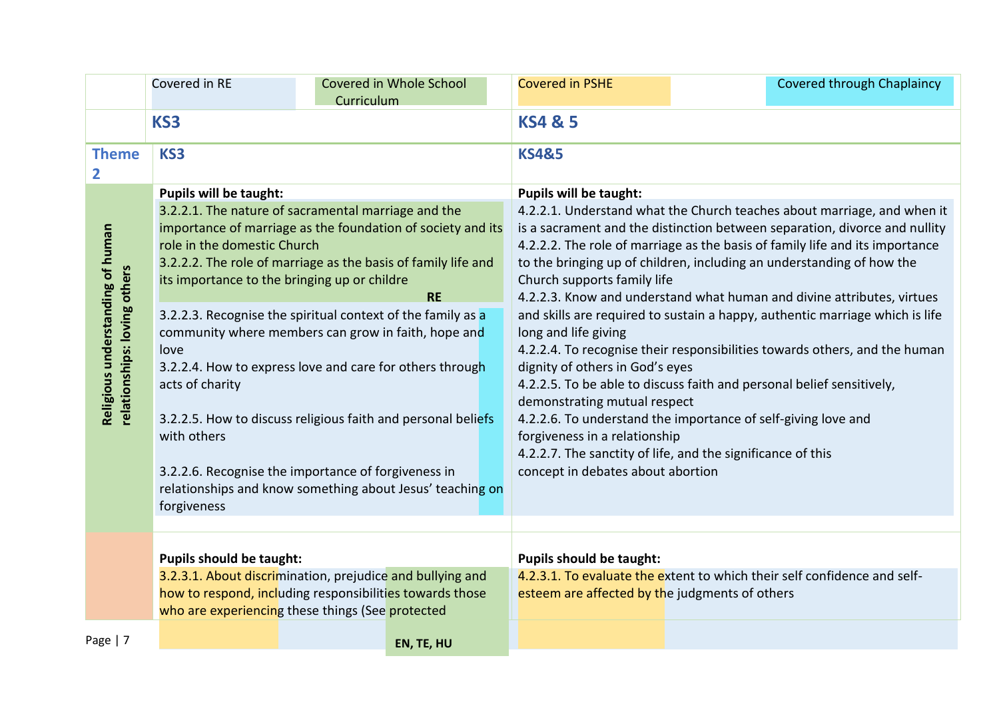|                                                                  | Covered in RE                                                                                                                                                                                                                                                                                                                                                                                                                                                                                                                                                               | Covered in Whole School<br>Curriculum |  | <b>Covered in PSHE</b>                                                                                                                                                                                                                                                                                                                                                                                                                                                                                                                                                                                                                                                                                                                                                                                                                                      | <b>Covered through Chaplaincy</b>                                        |  |
|------------------------------------------------------------------|-----------------------------------------------------------------------------------------------------------------------------------------------------------------------------------------------------------------------------------------------------------------------------------------------------------------------------------------------------------------------------------------------------------------------------------------------------------------------------------------------------------------------------------------------------------------------------|---------------------------------------|--|-------------------------------------------------------------------------------------------------------------------------------------------------------------------------------------------------------------------------------------------------------------------------------------------------------------------------------------------------------------------------------------------------------------------------------------------------------------------------------------------------------------------------------------------------------------------------------------------------------------------------------------------------------------------------------------------------------------------------------------------------------------------------------------------------------------------------------------------------------------|--------------------------------------------------------------------------|--|
|                                                                  | KS3                                                                                                                                                                                                                                                                                                                                                                                                                                                                                                                                                                         |                                       |  | <b>KS4 &amp; 5</b>                                                                                                                                                                                                                                                                                                                                                                                                                                                                                                                                                                                                                                                                                                                                                                                                                                          |                                                                          |  |
| <b>Theme</b><br>2                                                | KS3                                                                                                                                                                                                                                                                                                                                                                                                                                                                                                                                                                         |                                       |  | <b>KS4&amp;5</b>                                                                                                                                                                                                                                                                                                                                                                                                                                                                                                                                                                                                                                                                                                                                                                                                                                            |                                                                          |  |
|                                                                  | <b>Pupils will be taught:</b>                                                                                                                                                                                                                                                                                                                                                                                                                                                                                                                                               |                                       |  | <b>Pupils will be taught:</b>                                                                                                                                                                                                                                                                                                                                                                                                                                                                                                                                                                                                                                                                                                                                                                                                                               |                                                                          |  |
| Religious understanding of human<br>relationships: loving others | 3.2.2.1. The nature of sacramental marriage and the<br>importance of marriage as the foundation of society and its<br>role in the domestic Church<br>3.2.2.2. The role of marriage as the basis of family life and<br>its importance to the bringing up or childre<br><b>RE</b><br>3.2.2.3. Recognise the spiritual context of the family as a<br>community where members can grow in faith, hope and<br>love<br>3.2.2.4. How to express love and care for others through<br>acts of charity<br>3.2.2.5. How to discuss religious faith and personal beliefs<br>with others |                                       |  | 4.2.2.1. Understand what the Church teaches about marriage, and when it<br>is a sacrament and the distinction between separation, divorce and nullity<br>4.2.2.2. The role of marriage as the basis of family life and its importance<br>to the bringing up of children, including an understanding of how the<br>Church supports family life<br>4.2.2.3. Know and understand what human and divine attributes, virtues<br>and skills are required to sustain a happy, authentic marriage which is life<br>long and life giving<br>4.2.2.4. To recognise their responsibilities towards others, and the human<br>dignity of others in God's eyes<br>4.2.2.5. To be able to discuss faith and personal belief sensitively,<br>demonstrating mutual respect<br>4.2.2.6. To understand the importance of self-giving love and<br>forgiveness in a relationship |                                                                          |  |
|                                                                  | 3.2.2.6. Recognise the importance of forgiveness in<br>relationships and know something about Jesus' teaching on<br>forgiveness                                                                                                                                                                                                                                                                                                                                                                                                                                             |                                       |  | concept in debates about abortion                                                                                                                                                                                                                                                                                                                                                                                                                                                                                                                                                                                                                                                                                                                                                                                                                           | 4.2.2.7. The sanctity of life, and the significance of this              |  |
| <b>Pupils should be taught:</b>                                  |                                                                                                                                                                                                                                                                                                                                                                                                                                                                                                                                                                             |                                       |  | <b>Pupils should be taught:</b>                                                                                                                                                                                                                                                                                                                                                                                                                                                                                                                                                                                                                                                                                                                                                                                                                             |                                                                          |  |
|                                                                  | 3.2.3.1. About discrimination, prejudice and bullying and<br>how to respond, including responsibilities towards those<br>who are experiencing these things (See protected                                                                                                                                                                                                                                                                                                                                                                                                   |                                       |  | esteem are affected by the judgments of others                                                                                                                                                                                                                                                                                                                                                                                                                                                                                                                                                                                                                                                                                                                                                                                                              | 4.2.3.1. To evaluate the extent to which their self confidence and self- |  |
| Page   7                                                         |                                                                                                                                                                                                                                                                                                                                                                                                                                                                                                                                                                             | EN, TE, HU                            |  |                                                                                                                                                                                                                                                                                                                                                                                                                                                                                                                                                                                                                                                                                                                                                                                                                                                             |                                                                          |  |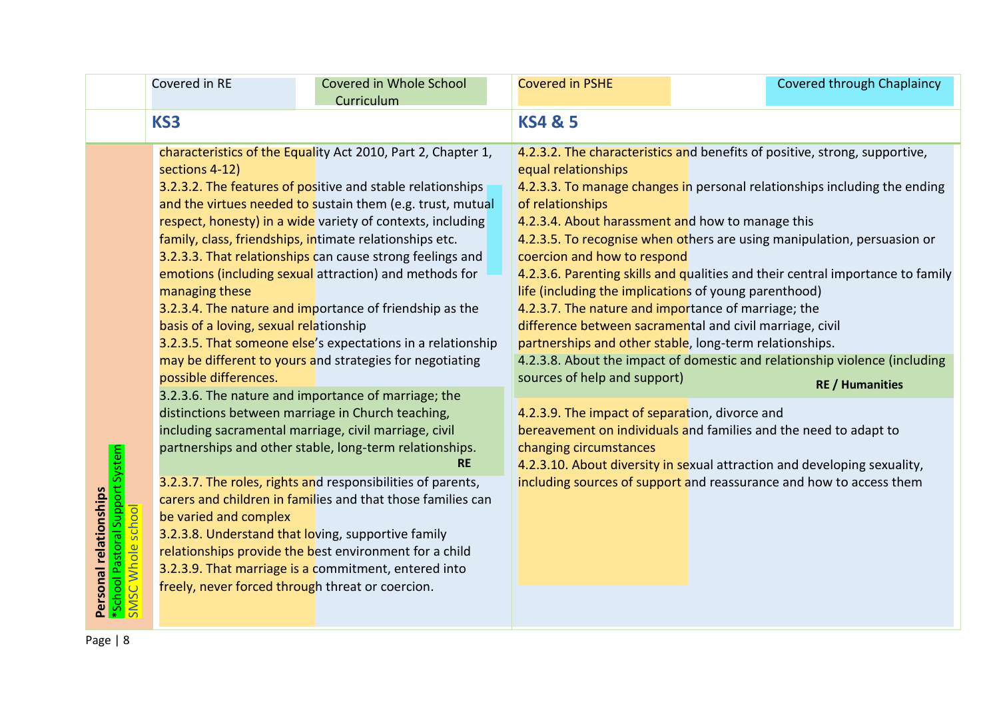|                                                                                | Covered in RE                                                                                       | Covered in Whole School<br>Curriculum                                                                                                                                                                                                                                                                                                                                                                                                                                                                                                                                                                                                                                                 | <b>Covered in PSHE</b>                                                                                                                                                                                                                                                     | Covered through Chaplaincy                                                                                                                                                                                                                                                                                                                                                                                                                                                                                                                          |  |
|--------------------------------------------------------------------------------|-----------------------------------------------------------------------------------------------------|---------------------------------------------------------------------------------------------------------------------------------------------------------------------------------------------------------------------------------------------------------------------------------------------------------------------------------------------------------------------------------------------------------------------------------------------------------------------------------------------------------------------------------------------------------------------------------------------------------------------------------------------------------------------------------------|----------------------------------------------------------------------------------------------------------------------------------------------------------------------------------------------------------------------------------------------------------------------------|-----------------------------------------------------------------------------------------------------------------------------------------------------------------------------------------------------------------------------------------------------------------------------------------------------------------------------------------------------------------------------------------------------------------------------------------------------------------------------------------------------------------------------------------------------|--|
|                                                                                | KS3                                                                                                 |                                                                                                                                                                                                                                                                                                                                                                                                                                                                                                                                                                                                                                                                                       | <b>KS4 &amp; 5</b>                                                                                                                                                                                                                                                         |                                                                                                                                                                                                                                                                                                                                                                                                                                                                                                                                                     |  |
|                                                                                | sections 4-12)<br>managing these<br>basis of a loving, sexual relationship<br>possible differences. | characteristics of the Equality Act 2010, Part 2, Chapter 1,<br>3.2.3.2. The features of positive and stable relationships<br>and the virtues needed to sustain them (e.g. trust, mutual<br>respect, honesty) in a wide variety of contexts, including<br>family, class, friendships, intimate relationships etc.<br>3.2.3.3. That relationships can cause strong feelings and<br>emotions (including sexual attraction) and methods for<br>3.2.3.4. The nature and importance of friendship as the<br>3.2.3.5. That someone else's expectations in a relationship<br>may be different to yours and strategies for negotiating<br>3.2.3.6. The nature and importance of marriage; the | equal relationships<br>of relationships<br>4.2.3.4. About harassment and how to manage this<br>coercion and how to respond<br>life (including the implications of young parenthood)<br>4.2.3.7. The nature and importance of marriage; the<br>sources of help and support) | 4.2.3.2. The characteristics and benefits of positive, strong, supportive,<br>4.2.3.3. To manage changes in personal relationships including the ending<br>4.2.3.5. To recognise when others are using manipulation, persuasion or<br>4.2.3.6. Parenting skills and qualities and their central importance to family<br>difference between sacramental and civil marriage, civil<br>partnerships and other stable, long-term relationships.<br>4.2.3.8. About the impact of domestic and relationship violence (including<br><b>RE / Humanities</b> |  |
| *School Pastoral Support System<br>SMSC Whole school<br>Personal relationships | be varied and complex<br>freely, never forced through threat or coercion.                           | distinctions between marriage in Church teaching,<br>including sacramental marriage, civil marriage, civil<br>partnerships and other stable, long-term relationships.<br><b>RE</b><br>3.2.3.7. The roles, rights and responsibilities of parents,<br>carers and children in families and that those families can<br>3.2.3.8. Understand that loving, supportive family<br>relationships provide the best environment for a child<br>3.2.3.9. That marriage is a commitment, entered into                                                                                                                                                                                              | 4.2.3.9. The impact of separation, divorce and<br>changing circumstances                                                                                                                                                                                                   | bereavement on individuals and families and the need to adapt to<br>4.2.3.10. About diversity in sexual attraction and developing sexuality,<br>including sources of support and reassurance and how to access them                                                                                                                                                                                                                                                                                                                                 |  |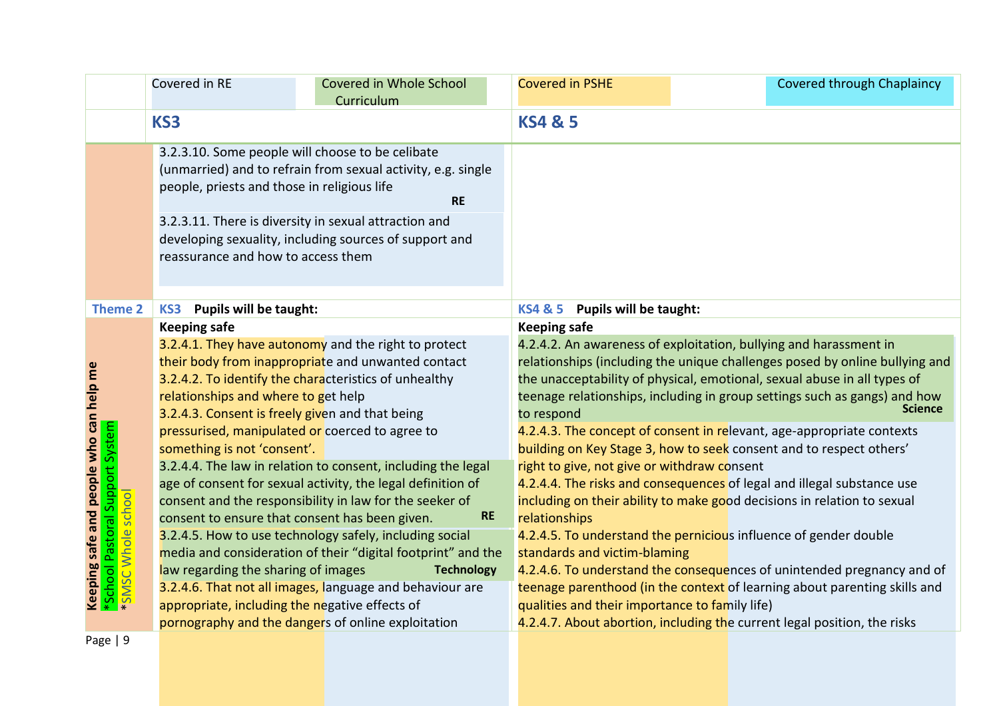|                                                                             | Covered in RE                                                                          | Covered in Whole School<br>Curriculum                                                                                                                                                 | <b>Covered in PSHE</b>                              | Covered through Chaplaincy                                                                                                                                                                                                                                                                                                  |
|-----------------------------------------------------------------------------|----------------------------------------------------------------------------------------|---------------------------------------------------------------------------------------------------------------------------------------------------------------------------------------|-----------------------------------------------------|-----------------------------------------------------------------------------------------------------------------------------------------------------------------------------------------------------------------------------------------------------------------------------------------------------------------------------|
|                                                                             | KS3                                                                                    |                                                                                                                                                                                       | <b>KS4 &amp; 5</b>                                  |                                                                                                                                                                                                                                                                                                                             |
|                                                                             | people, priests and those in religious life                                            | 3.2.3.10. Some people will choose to be celibate<br>(unmarried) and to refrain from sexual activity, e.g. single<br><b>RE</b>                                                         |                                                     |                                                                                                                                                                                                                                                                                                                             |
|                                                                             | reassurance and how to access them                                                     | 3.2.3.11. There is diversity in sexual attraction and<br>developing sexuality, including sources of support and                                                                       |                                                     |                                                                                                                                                                                                                                                                                                                             |
| <b>Theme 2</b>                                                              | <b>Pupils will be taught:</b><br>KS3                                                   |                                                                                                                                                                                       | <b>KS4 &amp; 5</b><br><b>Pupils will be taught:</b> |                                                                                                                                                                                                                                                                                                                             |
|                                                                             | <b>Keeping safe</b>                                                                    |                                                                                                                                                                                       | <b>Keeping safe</b>                                 |                                                                                                                                                                                                                                                                                                                             |
|                                                                             | relationships and where to get help<br>3.2.4.3. Consent is freely given and that being | 3.2.4.1. They have autonomy and the right to protect<br>their body from inappropriate and unwanted contact<br>3.2.4.2. To identify the characteristics of unhealthy                   | to respond                                          | 4.2.4.2. An awareness of exploitation, bullying and harassment in<br>relationships (including the unique challenges posed by online bullying and<br>the unacceptability of physical, emotional, sexual abuse in all types of<br>teenage relationships, including in group settings such as gangs) and how<br><b>Science</b> |
|                                                                             | something is not 'consent'.                                                            | pressurised, manipulated or coerced to agree to<br>3.2.4.4. The law in relation to consent, including the legal                                                                       | right to give, not give or withdraw consent         | 4.2.4.3. The concept of consent in relevant, age-appropriate contexts<br>building on Key Stage 3, how to seek consent and to respect others'                                                                                                                                                                                |
| Keeping safe and people who can help me<br>Pastoral Support System<br>schoo |                                                                                        | age of consent for sexual activity, the legal definition of<br>consent and the responsibility in law for the seeker of<br>consent to ensure that consent has been given.<br><b>RE</b> | relationships                                       | 4.2.4.4. The risks and consequences of legal and illegal substance use<br>including on their ability to make good decisions in relation to sexual                                                                                                                                                                           |
| Mhole                                                                       |                                                                                        | 3.2.4.5. How to use technology safely, including social<br>media and consideration of their "digital footprint" and the                                                               | standards and victim-blaming                        | 4.2.4.5. To understand the pernicious influence of gender double                                                                                                                                                                                                                                                            |
| *School<br><b>SWS*</b>                                                      | law regarding the sharing of images<br>appropriate, including the negative effects of  | <b>Technology</b><br>3.2.4.6. That not all images, language and behaviour are                                                                                                         | qualities and their importance to family life)      | 4.2.4.6. To understand the consequences of unintended pregnancy and of<br>teenage parenthood (in the context of learning about parenting skills and                                                                                                                                                                         |
|                                                                             |                                                                                        | pornography and the dangers of online exploitation                                                                                                                                    |                                                     | 4.2.4.7. About abortion, including the current legal position, the risks                                                                                                                                                                                                                                                    |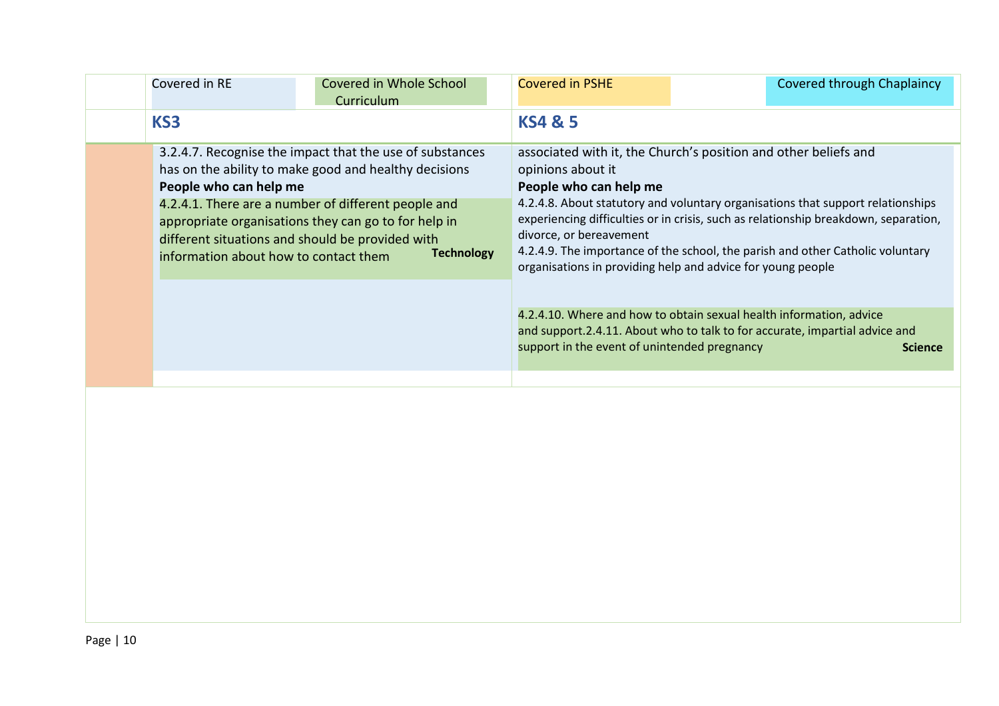| Covered in RE                                                   | Covered in Whole School<br>Curriculum                                                                                                                                                                                                                                                                     | <b>Covered in PSHE</b>                                                 | <b>Covered through Chaplaincy</b>                                                                                                                                                                                                                                                                                                                                                          |
|-----------------------------------------------------------------|-----------------------------------------------------------------------------------------------------------------------------------------------------------------------------------------------------------------------------------------------------------------------------------------------------------|------------------------------------------------------------------------|--------------------------------------------------------------------------------------------------------------------------------------------------------------------------------------------------------------------------------------------------------------------------------------------------------------------------------------------------------------------------------------------|
| KS3                                                             |                                                                                                                                                                                                                                                                                                           | <b>KS4 &amp; 5</b>                                                     |                                                                                                                                                                                                                                                                                                                                                                                            |
| People who can help me<br>information about how to contact them | 3.2.4.7. Recognise the impact that the use of substances<br>has on the ability to make good and healthy decisions<br>4.2.4.1. There are a number of different people and<br>appropriate organisations they can go to for help in<br>different situations and should be provided with<br><b>Technology</b> | opinions about it<br>People who can help me<br>divorce, or bereavement | associated with it, the Church's position and other beliefs and<br>4.2.4.8. About statutory and voluntary organisations that support relationships<br>experiencing difficulties or in crisis, such as relationship breakdown, separation,<br>4.2.4.9. The importance of the school, the parish and other Catholic voluntary<br>organisations in providing help and advice for young people |
|                                                                 |                                                                                                                                                                                                                                                                                                           | support in the event of unintended pregnancy                           | 4.2.4.10. Where and how to obtain sexual health information, advice<br>and support.2.4.11. About who to talk to for accurate, impartial advice and<br><b>Science</b>                                                                                                                                                                                                                       |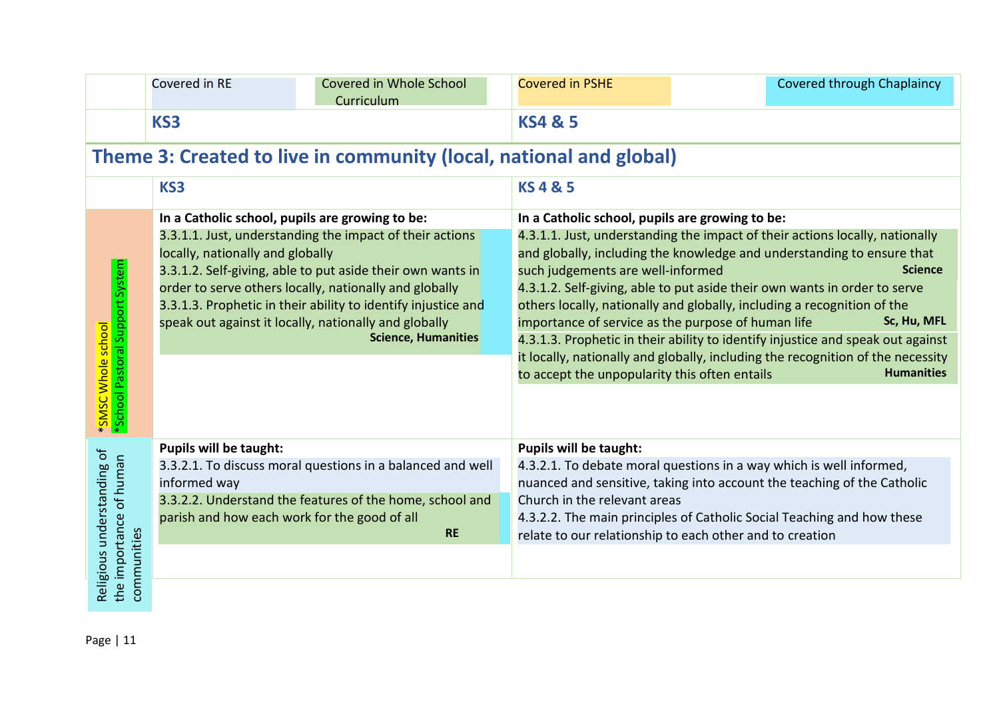|                                                       | Covered in RE                                                                                 | Covered in Whole School<br>Curriculum                                                                                                                                                                                                                                                                                                    | <b>Covered in PSHE</b>                                        | <b>Covered through Chaplaincy</b>                                                                                                                                                                                                                                                                                                                                                                                                                                                                                                                                                                                                                                                                                                         |  |  |  |
|-------------------------------------------------------|-----------------------------------------------------------------------------------------------|------------------------------------------------------------------------------------------------------------------------------------------------------------------------------------------------------------------------------------------------------------------------------------------------------------------------------------------|---------------------------------------------------------------|-------------------------------------------------------------------------------------------------------------------------------------------------------------------------------------------------------------------------------------------------------------------------------------------------------------------------------------------------------------------------------------------------------------------------------------------------------------------------------------------------------------------------------------------------------------------------------------------------------------------------------------------------------------------------------------------------------------------------------------------|--|--|--|
|                                                       | KS3                                                                                           |                                                                                                                                                                                                                                                                                                                                          | <b>KS4 &amp; 5</b>                                            |                                                                                                                                                                                                                                                                                                                                                                                                                                                                                                                                                                                                                                                                                                                                           |  |  |  |
|                                                       |                                                                                               | Theme 3: Created to live in community (local, national and global)                                                                                                                                                                                                                                                                       |                                                               |                                                                                                                                                                                                                                                                                                                                                                                                                                                                                                                                                                                                                                                                                                                                           |  |  |  |
|                                                       | KS3                                                                                           |                                                                                                                                                                                                                                                                                                                                          | <b>KS4&amp;5</b>                                              |                                                                                                                                                                                                                                                                                                                                                                                                                                                                                                                                                                                                                                                                                                                                           |  |  |  |
| *School Pastoral Support System<br>*SMSC Whole school | In a Catholic school, pupils are growing to be:<br>locally, nationally and globally           | 3.3.1.1. Just, understanding the impact of their actions<br>3.3.1.2. Self-giving, able to put aside their own wants in<br>order to serve others locally, nationally and globally<br>3.3.1.3. Prophetic in their ability to identify injustice and<br>speak out against it locally, nationally and globally<br><b>Science, Humanities</b> |                                                               | In a Catholic school, pupils are growing to be:<br>4.3.1.1. Just, understanding the impact of their actions locally, nationally<br>and globally, including the knowledge and understanding to ensure that<br><b>Science</b><br>such judgements are well-informed<br>4.3.1.2. Self-giving, able to put aside their own wants in order to serve<br>others locally, nationally and globally, including a recognition of the<br>Sc, Hu, MFL<br>importance of service as the purpose of human life<br>4.3.1.3. Prophetic in their ability to identify injustice and speak out against<br>it locally, nationally and globally, including the recognition of the necessity<br><b>Humanities</b><br>to accept the unpopularity this often entails |  |  |  |
| Religious understanding of<br>the importance of human | <b>Pupils will be taught:</b><br>informed way<br>parish and how each work for the good of all | 3.3.2.1. To discuss moral questions in a balanced and well<br>3.3.2.2. Understand the features of the home, school and<br><b>RE</b>                                                                                                                                                                                                      | <b>Pupils will be taught:</b><br>Church in the relevant areas | 4.3.2.1. To debate moral questions in a way which is well informed,<br>nuanced and sensitive, taking into account the teaching of the Catholic<br>4.3.2.2. The main principles of Catholic Social Teaching and how these<br>relate to our relationship to each other and to creation                                                                                                                                                                                                                                                                                                                                                                                                                                                      |  |  |  |
| communities                                           |                                                                                               |                                                                                                                                                                                                                                                                                                                                          |                                                               |                                                                                                                                                                                                                                                                                                                                                                                                                                                                                                                                                                                                                                                                                                                                           |  |  |  |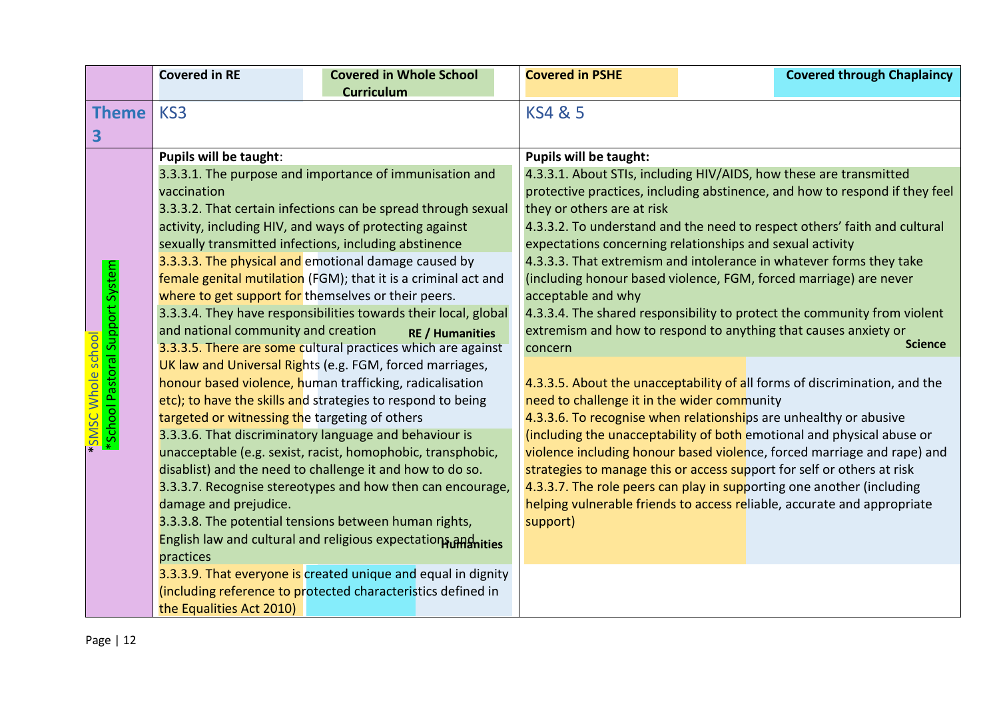|                                                             | <b>Covered in RE</b>                                                                                                                                                                                                                                                                                                                                                                                                                                                                                                                                                                                                                                                                                                                                                                                                                                                                                                | <b>Covered in Whole School</b> | <b>Covered in PSHE</b>                                                                                                                                                                                                                                                                                                                                                                                                                                                                                                                                                                                                                                                                                                                                                                                                                                                                                     | <b>Covered through Chaplaincy</b> |
|-------------------------------------------------------------|---------------------------------------------------------------------------------------------------------------------------------------------------------------------------------------------------------------------------------------------------------------------------------------------------------------------------------------------------------------------------------------------------------------------------------------------------------------------------------------------------------------------------------------------------------------------------------------------------------------------------------------------------------------------------------------------------------------------------------------------------------------------------------------------------------------------------------------------------------------------------------------------------------------------|--------------------------------|------------------------------------------------------------------------------------------------------------------------------------------------------------------------------------------------------------------------------------------------------------------------------------------------------------------------------------------------------------------------------------------------------------------------------------------------------------------------------------------------------------------------------------------------------------------------------------------------------------------------------------------------------------------------------------------------------------------------------------------------------------------------------------------------------------------------------------------------------------------------------------------------------------|-----------------------------------|
|                                                             |                                                                                                                                                                                                                                                                                                                                                                                                                                                                                                                                                                                                                                                                                                                                                                                                                                                                                                                     | <b>Curriculum</b>              |                                                                                                                                                                                                                                                                                                                                                                                                                                                                                                                                                                                                                                                                                                                                                                                                                                                                                                            |                                   |
| <b>Theme</b>                                                | KS <sub>3</sub>                                                                                                                                                                                                                                                                                                                                                                                                                                                                                                                                                                                                                                                                                                                                                                                                                                                                                                     |                                | <b>KS4 &amp; 5</b>                                                                                                                                                                                                                                                                                                                                                                                                                                                                                                                                                                                                                                                                                                                                                                                                                                                                                         |                                   |
| 3                                                           |                                                                                                                                                                                                                                                                                                                                                                                                                                                                                                                                                                                                                                                                                                                                                                                                                                                                                                                     |                                |                                                                                                                                                                                                                                                                                                                                                                                                                                                                                                                                                                                                                                                                                                                                                                                                                                                                                                            |                                   |
| *School Pastoral Support System<br><b>SMSC Whole school</b> | Pupils will be taught:<br>3.3.3.1. The purpose and importance of immunisation and<br>vaccination<br>3.3.3.2. That certain infections can be spread through sexual<br>activity, including HIV, and ways of protecting against<br>sexually transmitted infections, including abstinence<br>3.3.3.3. The physical and emotional damage caused by<br>female genital mutilation (FGM); that it is a criminal act and<br>where to get support for themselves or their peers.<br>3.3.3.4. They have responsibilities towards their local, global<br>and national community and creation<br><b>RE / Humanities</b><br>3.3.3.5. There are some cultural practices which are against<br>UK law and Universal Rights (e.g. FGM, forced marriages,<br>honour based violence, human trafficking, radicalisation<br>etc); to have the skills and strategies to respond to being<br>targeted or witnessing the targeting of others |                                | <b>Pupils will be taught:</b><br>4.3.3.1. About STIs, including HIV/AIDS, how these are transmitted<br>protective practices, including abstinence, and how to respond if they feel<br>they or others are at risk<br>4.3.3.2. To understand and the need to respect others' faith and cultural<br>expectations concerning relationships and sexual activity<br>4.3.3.3. That extremism and intolerance in whatever forms they take<br>(including honour based violence, FGM, forced marriage) are never<br>acceptable and why<br>4.3.3.4. The shared responsibility to protect the community from violent<br>extremism and how to respond to anything that causes anxiety or<br><b>Science</b><br>concern<br>4.3.3.5. About the unacceptability of all forms of discrimination, and the<br>need to challenge it in the wider community<br>4.3.3.6. To recognise when relationships are unhealthy or abusive |                                   |
|                                                             | unacceptable (e.g. sexist, racist, homophobic, transphobic,<br>disablist) and the need to challenge it and how to do so.<br>3.3.3.7. Recognise stereotypes and how then can encourage,                                                                                                                                                                                                                                                                                                                                                                                                                                                                                                                                                                                                                                                                                                                              |                                | violence including honour based violence, forced marriage and rape) and<br>strategies to manage this or access support for self or others at risk<br>4.3.3.7. The role peers can play in supporting one another (including                                                                                                                                                                                                                                                                                                                                                                                                                                                                                                                                                                                                                                                                                 |                                   |
|                                                             | damage and prejudice.                                                                                                                                                                                                                                                                                                                                                                                                                                                                                                                                                                                                                                                                                                                                                                                                                                                                                               |                                | helping vulnerable friends to access reliable, accurate and appropriate                                                                                                                                                                                                                                                                                                                                                                                                                                                                                                                                                                                                                                                                                                                                                                                                                                    |                                   |
|                                                             | 3.3.3.8. The potential tensions between human rights,                                                                                                                                                                                                                                                                                                                                                                                                                                                                                                                                                                                                                                                                                                                                                                                                                                                               |                                | support)                                                                                                                                                                                                                                                                                                                                                                                                                                                                                                                                                                                                                                                                                                                                                                                                                                                                                                   |                                   |
|                                                             | English law and cultural and religious expectations and ities<br>practices                                                                                                                                                                                                                                                                                                                                                                                                                                                                                                                                                                                                                                                                                                                                                                                                                                          |                                |                                                                                                                                                                                                                                                                                                                                                                                                                                                                                                                                                                                                                                                                                                                                                                                                                                                                                                            |                                   |
|                                                             | 3.3.3.9. That everyone is created unique and equal in dignity                                                                                                                                                                                                                                                                                                                                                                                                                                                                                                                                                                                                                                                                                                                                                                                                                                                       |                                |                                                                                                                                                                                                                                                                                                                                                                                                                                                                                                                                                                                                                                                                                                                                                                                                                                                                                                            |                                   |
|                                                             | (including reference to protected characteristics defined in<br>the Equalities Act 2010)                                                                                                                                                                                                                                                                                                                                                                                                                                                                                                                                                                                                                                                                                                                                                                                                                            |                                |                                                                                                                                                                                                                                                                                                                                                                                                                                                                                                                                                                                                                                                                                                                                                                                                                                                                                                            |                                   |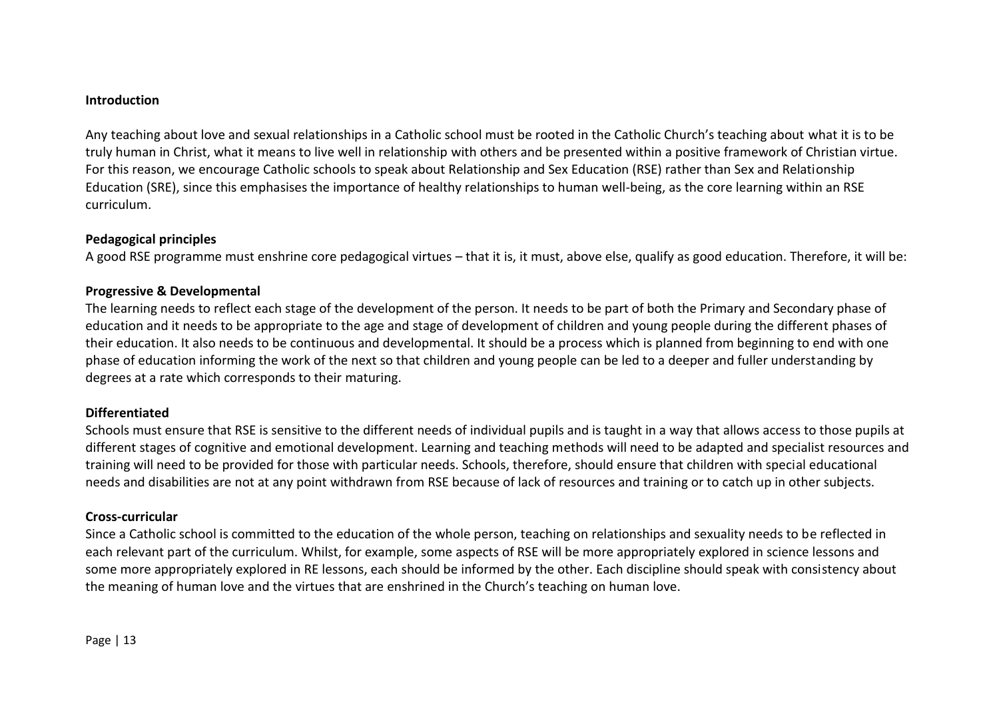#### **Introduction**

Any teaching about love and sexual relationships in a Catholic school must be rooted in the Catholic Church's teaching about what it is to be truly human in Christ, what it means to live well in relationship with others and be presented within a positive framework of Christian virtue. For this reason, we encourage Catholic schools to speak about Relationship and Sex Education (RSE) rather than Sex and Relationship Education (SRE), since this emphasises the importance of healthy relationships to human well-being, as the core learning within an RSE curriculum.

## **Pedagogical principles**

A good RSE programme must enshrine core pedagogical virtues – that it is, it must, above else, qualify as good education. Therefore, it will be:

#### **Progressive & Developmental**

The learning needs to reflect each stage of the development of the person. It needs to be part of both the Primary and Secondary phase of education and it needs to be appropriate to the age and stage of development of children and young people during the different phases of their education. It also needs to be continuous and developmental. It should be a process which is planned from beginning to end with one phase of education informing the work of the next so that children and young people can be led to a deeper and fuller understanding by degrees at a rate which corresponds to their maturing.

## **Differentiated**

Schools must ensure that RSE is sensitive to the different needs of individual pupils and is taught in a way that allows access to those pupils at different stages of cognitive and emotional development. Learning and teaching methods will need to be adapted and specialist resources and training will need to be provided for those with particular needs. Schools, therefore, should ensure that children with special educational needs and disabilities are not at any point withdrawn from RSE because of lack of resources and training or to catch up in other subjects.

## **Cross-curricular**

Since a Catholic school is committed to the education of the whole person, teaching on relationships and sexuality needs to be reflected in each relevant part of the curriculum. Whilst, for example, some aspects of RSE will be more appropriately explored in science lessons and some more appropriately explored in RE lessons, each should be informed by the other. Each discipline should speak with consistency about the meaning of human love and the virtues that are enshrined in the Church's teaching on human love.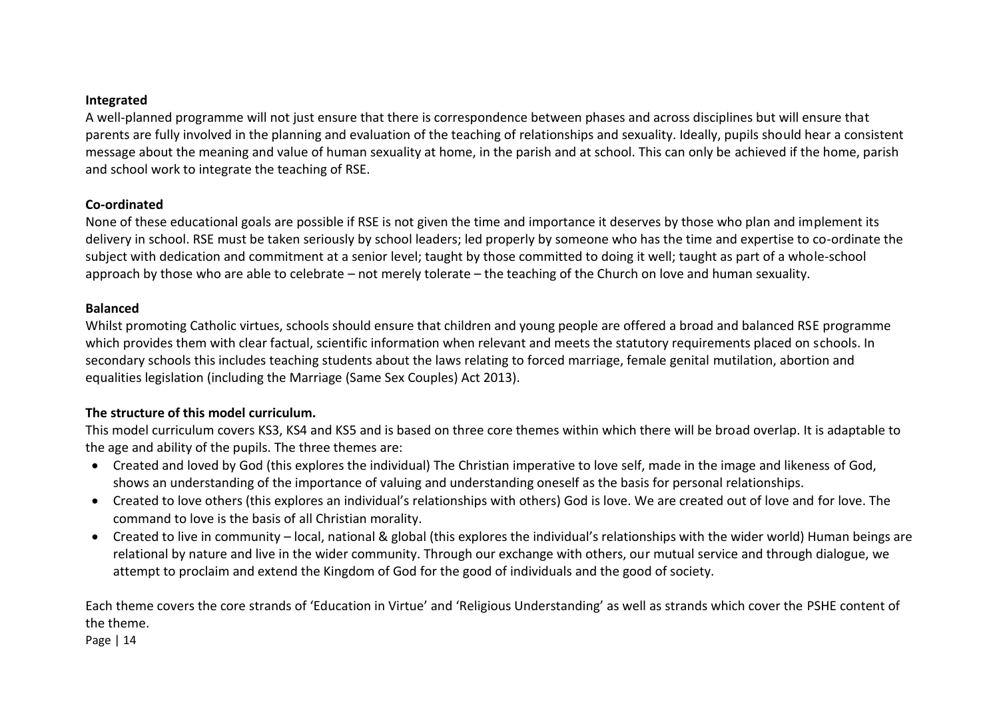#### **Integrated**

A well-planned programme will not just ensure that there is correspondence between phases and across disciplines but will ensure that parents are fully involved in the planning and evaluation of the teaching of relationships and sexuality. Ideally, pupils should hear a consistent message about the meaning and value of human sexuality at home, in the parish and at school. This can only be achieved if the home, parish and school work to integrate the teaching of RSE.

## **Co-ordinated**

None of these educational goals are possible if RSE is not given the time and importance it deserves by those who plan and implement its delivery in school. RSE must be taken seriously by school leaders; led properly by someone who has the time and expertise to co-ordinate the subject with dedication and commitment at a senior level; taught by those committed to doing it well; taught as part of a whole-school approach by those who are able to celebrate – not merely tolerate – the teaching of the Church on love and human sexuality.

## **Balanced**

Whilst promoting Catholic virtues, schools should ensure that children and young people are offered a broad and balanced RSE programme which provides them with clear factual, scientific information when relevant and meets the statutory requirements placed on schools. In secondary schools this includes teaching students about the laws relating to forced marriage, female genital mutilation, abortion and equalities legislation (including the Marriage (Same Sex Couples) Act 2013).

# **The structure of this model curriculum.**

This model curriculum covers KS3, KS4 and KS5 and is based on three core themes within which there will be broad overlap. It is adaptable to the age and ability of the pupils. The three themes are:

- Created and loved by God (this explores the individual) The Christian imperative to love self, made in the image and likeness of God, shows an understanding of the importance of valuing and understanding oneself as the basis for personal relationships.
- Created to love others (this explores an individual's relationships with others) God is love. We are created out of love and for love. The command to love is the basis of all Christian morality.
- Created to live in community local, national & global (this explores the individual's relationships with the wider world) Human beings are relational by nature and live in the wider community. Through our exchange with others, our mutual service and through dialogue, we attempt to proclaim and extend the Kingdom of God for the good of individuals and the good of society.

Each theme covers the core strands of 'Education in Virtue' and 'Religious Understanding' as well as strands which cover the PSHE content of the theme.

Page | 14